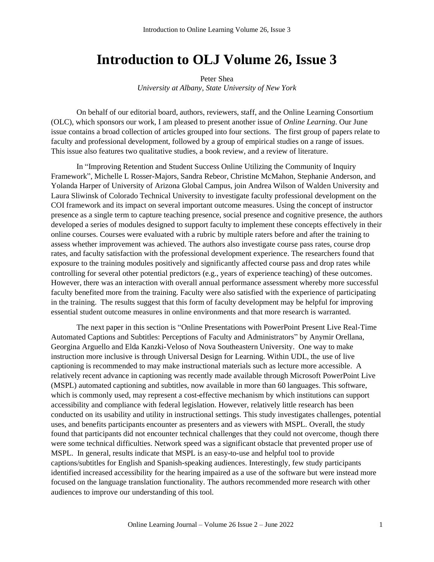## **Introduction to OLJ Volume 26, Issue 3**

Peter Shea *University at Albany, State University of New York*

On behalf of our editorial board, authors, reviewers, staff, and the Online Learning Consortium (OLC), which sponsors our work, I am pleased to present another issue of *Online Learning*. Our June issue contains a broad collection of articles grouped into four sections. The first group of papers relate to faculty and professional development, followed by a group of empirical studies on a range of issues. This issue also features two qualitative studies, a book review, and a review of literature.

In "Improving Retention and Student Success Online Utilizing the Community of Inquiry Framework", Michelle L Rosser-Majors, Sandra Rebeor, Christine McMahon, Stephanie Anderson, and Yolanda Harper of University of Arizona Global Campus, join Andrea Wilson of Walden University and Laura Sliwinsk of Colorado Technical University to investigate faculty professional development on the COI framework and its impact on several important outcome measures. Using the concept of instructor presence as a single term to capture teaching presence, social presence and cognitive presence, the authors developed a series of modules designed to support faculty to implement these concepts effectively in their online courses. Courses were evaluated with a rubric by multiple raters before and after the training to assess whether improvement was achieved. The authors also investigate course pass rates, course drop rates, and faculty satisfaction with the professional development experience. The researchers found that exposure to the training modules positively and significantly affected course pass and drop rates while controlling for several other potential predictors (e.g., years of experience teaching) of these outcomes. However, there was an interaction with overall annual performance assessment whereby more successful faculty benefited more from the training. Faculty were also satisfied with the experience of participating in the training. The results suggest that this form of faculty development may be helpful for improving essential student outcome measures in online environments and that more research is warranted.

The next paper in this section is "Online Presentations with PowerPoint Present Live Real-Time Automated Captions and Subtitles: Perceptions of Faculty and Administrators" by Anymir Orellana, Georgina Arguello and Elda Kanzki-Veloso of Nova Southeastern University. One way to make instruction more inclusive is through Universal Design for Learning. Within UDL, the use of live captioning is recommended to may make instructional materials such as lecture more accessible. A relatively recent advance in captioning was recently made available through Microsoft PowerPoint Live (MSPL) automated captioning and subtitles, now available in more than 60 languages. This software, which is commonly used, may represent a cost-effective mechanism by which institutions can support accessibility and compliance with federal legislation. However, relatively little research has been conducted on its usability and utility in instructional settings. This study investigates challenges, potential uses, and benefits participants encounter as presenters and as viewers with MSPL. Overall, the study found that participants did not encounter technical challenges that they could not overcome, though there were some technical difficulties. Network speed was a significant obstacle that prevented proper use of MSPL. In general, results indicate that MSPL is an easy-to-use and helpful tool to provide captions/subtitles for English and Spanish-speaking audiences. Interestingly, few study participants identified increased accessibility for the hearing impaired as a use of the software but were instead more focused on the language translation functionality. The authors recommended more research with other audiences to improve our understanding of this tool.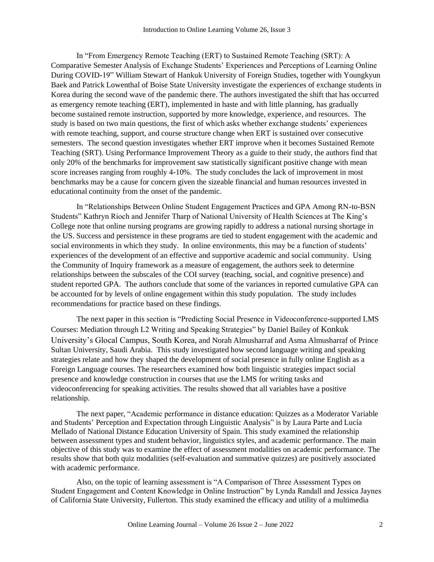In "From Emergency Remote Teaching (ERT) to Sustained Remote Teaching (SRT): A Comparative Semester Analysis of Exchange Students' Experiences and Perceptions of Learning Online During COVID-19" William Stewart of Hankuk University of Foreign Studies, together with Youngkyun Baek and Patrick Lowenthal of Boise State University investigate the experiences of exchange students in Korea during the second wave of the pandemic there. The authors investigated the shift that has occurred as emergency remote teaching (ERT), implemented in haste and with little planning, has gradually become sustained remote instruction, supported by more knowledge, experience, and resources. The study is based on two main questions, the first of which asks whether exchange students' experiences with remote teaching, support, and course structure change when ERT is sustained over consecutive semesters. The second question investigates whether ERT improve when it becomes Sustained Remote Teaching (SRT). Using Performance Improvement Theory as a guide to their study, the authors find that only 20% of the benchmarks for improvement saw statistically significant positive change with mean score increases ranging from roughly 4-10%. The study concludes the lack of improvement in most benchmarks may be a cause for concern given the sizeable financial and human resources invested in educational continuity from the onset of the pandemic.

In "Relationships Between Online Student Engagement Practices and GPA Among RN-to-BSN Students" Kathryn Rioch and Jennifer Tharp of National University of Health Sciences at The King's College note that online nursing programs are growing rapidly to address a national nursing shortage in the US. Success and persistence in these programs are tied to student engagement with the academic and social environments in which they study. In online environments, this may be a function of students' experiences of the development of an effective and supportive academic and social community. Using the Community of Inquiry framework as a measure of engagement, the authors seek to determine relationships between the subscales of the COI survey (teaching, social, and cognitive presence) and student reported GPA. The authors conclude that some of the variances in reported cumulative GPA can be accounted for by levels of online engagement within this study population. The study includes recommendations for practice based on these findings.

The next paper in this section is "Predicting Social Presence in Videoconference-supported LMS Courses: Mediation through L2 Writing and Speaking Strategies" by Daniel Bailey of Konkuk University's Glocal Campus, South Korea, and Norah Almusharraf and Asma Almusharraf of Prince Sultan University, Saudi Arabia. This study investigated how second language writing and speaking strategies relate and how they shaped the development of social presence in fully online English as a Foreign Language courses. The researchers examined how both linguistic strategies impact social presence and knowledge construction in courses that use the LMS for writing tasks and videoconferencing for speaking activities. The results showed that all variables have a positive relationship.

The next paper, "Academic performance in distance education: Quizzes as a Moderator Variable and Students' Perception and Expectation through Linguistic Analysis" is by Laura Parte and Lucía Mellado of National Distance Education University of Spain. This study examined the relationship between assessment types and student behavior, linguistics styles, and academic performance. The main objective of this study was to examine the effect of assessment modalities on academic performance. The results show that both quiz modalities (self-evaluation and summative quizzes) are positively associated with academic performance.

Also, on the topic of learning assessment is "A Comparison of Three Assessment Types on Student Engagement and Content Knowledge in Online Instruction" by Lynda Randall and Jessica Jaynes of California State University, Fullerton. This study examined the efficacy and utility of a multimedia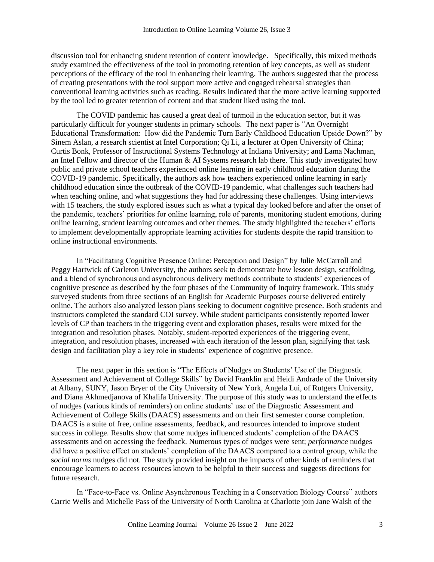discussion tool for enhancing student retention of content knowledge. Specifically, this mixed methods study examined the effectiveness of the tool in promoting retention of key concepts, as well as student perceptions of the efficacy of the tool in enhancing their learning. The authors suggested that the process of creating presentations with the tool support more active and engaged rehearsal strategies than conventional learning activities such as reading. Results indicated that the more active learning supported by the tool led to greater retention of content and that student liked using the tool.

The COVID pandemic has caused a great deal of turmoil in the education sector, but it was particularly difficult for younger students in primary schools. The next paper is "An Overnight Educational Transformation: How did the Pandemic Turn Early Childhood Education Upside Down?" by Sinem Aslan, a research scientist at Intel Corporation; Qi Li, a lecturer at Open University of China; Curtis Bonk, Professor of Instructional Systems Technology at Indiana University; and Lama Nachman, an Intel Fellow and director of the Human & AI Systems research lab there. This study investigated how public and private school teachers experienced online learning in early childhood education during the COVID-19 pandemic. Specifically, the authors ask how teachers experienced online learning in early childhood education since the outbreak of the COVID-19 pandemic, what challenges such teachers had when teaching online, and what suggestions they had for addressing these challenges. Using interviews with 15 teachers, the study explored issues such as what a typical day looked before and after the onset of the pandemic, teachers' priorities for online learning, role of parents, monitoring student emotions, during online learning, student learning outcomes and other themes. The study highlighted the teachers' efforts to implement developmentally appropriate learning activities for students despite the rapid transition to online instructional environments.

In "Facilitating Cognitive Presence Online: Perception and Design" by Julie McCarroll and Peggy Hartwick of Carleton University, the authors seek to demonstrate how lesson design, scaffolding, and a blend of synchronous and asynchronous delivery methods contribute to students' experiences of cognitive presence as described by the four phases of the Community of Inquiry framework. This study surveyed students from three sections of an English for Academic Purposes course delivered entirely online. The authors also analyzed lesson plans seeking to document cognitive presence. Both students and instructors completed the standard COI survey. While student participants consistently reported lower levels of CP than teachers in the triggering event and exploration phases, results were mixed for the integration and resolution phases. Notably, student-reported experiences of the triggering event, integration, and resolution phases, increased with each iteration of the lesson plan, signifying that task design and facilitation play a key role in students' experience of cognitive presence.

The next paper in this section is "The Effects of Nudges on Students' Use of the Diagnostic Assessment and Achievement of College Skills" by David Franklin and Heidi Andrade of the University at Albany, SUNY, Jason Bryer of the City University of New York, Angela Lui, of Rutgers University, and Diana Akhmedjanova of Khalifa University. The purpose of this study was to understand the effects of nudges (various kinds of reminders) on online students' use of the Diagnostic Assessment and Achievement of College Skills (DAACS) assessments and on their first semester course completion. DAACS is a suite of free, online assessments, feedback, and resources intended to improve student success in college. Results show that some nudges influenced students' completion of the DAACS assessments and on accessing the feedback. Numerous types of nudges were sent; *performance* nudges did have a positive effect on students' completion of the DAACS compared to a control group, while the s*ocial norms* nudges did not. The study provided insight on the impacts of other kinds of reminders that encourage learners to access resources known to be helpful to their success and suggests directions for future research.

In "Face-to-Face vs. Online Asynchronous Teaching in a Conservation Biology Course" authors Carrie Wells and Michelle Pass of the University of North Carolina at Charlotte join Jane Walsh of the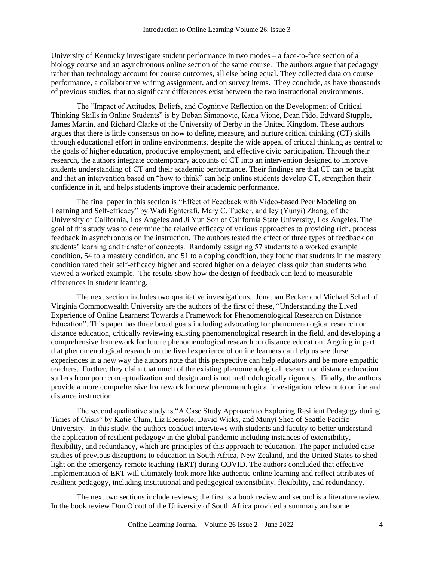University of Kentucky investigate student performance in two modes – a face-to-face section of a biology course and an asynchronous online section of the same course. The authors argue that pedagogy rather than technology account for course outcomes, all else being equal. They collected data on course performance, a collaborative writing assignment, and on survey items. They conclude, as have thousands of previous studies, that no significant differences exist between the two instructional environments.

The "Impact of Attitudes, Beliefs, and Cognitive Reflection on the Development of Critical Thinking Skills in Online Students" is by Boban Simonovic, Katia Vione, Dean Fido, Edward Stupple, James Martin, and Richard Clarke of the University of Derby in the United Kingdom. These authors argues that there is little consensus on how to define, measure, and nurture critical thinking (CT) skills through educational effort in online environments, despite the wide appeal of critical thinking as central to the goals of higher education, productive employment, and effective civic participation. Through their research, the authors integrate contemporary accounts of CT into an intervention designed to improve students understanding of CT and their academic performance. Their findings are that CT can be taught and that an intervention based on "how to think" can help online students develop CT, strengthen their confidence in it, and helps students improve their academic performance.

The final paper in this section is "Effect of Feedback with Video-based Peer Modeling on Learning and Self-efficacy" by Wadi Eghterafi, Mary C. Tucker, and Icy (Yunyi) Zhang, of the University of California, Los Angeles and Ji Yun Son of California State University, Los Angeles. The goal of this study was to determine the relative efficacy of various approaches to providing rich, process feedback in asynchronous online instruction. The authors tested the effect of three types of feedback on students' learning and transfer of concepts. Randomly assigning 57 students to a worked example condition, 54 to a mastery condition, and 51 to a coping condition, they found that students in the mastery condition rated their self-efficacy higher and scored higher on a delayed class quiz than students who viewed a worked example. The results show how the design of feedback can lead to measurable differences in student learning.

The next section includes two qualitative investigations. Jonathan Becker and Michael Schad of Virginia Commonwealth University are the authors of the first of these, "Understanding the Lived Experience of Online Learners: Towards a Framework for Phenomenological Research on Distance Education". This paper has three broad goals including advocating for phenomenological research on distance education, critically reviewing existing phenomenological research in the field, and developing a comprehensive framework for future phenomenological research on distance education. Arguing in part that phenomenological research on the lived experience of online learners can help us see these experiences in a new way the authors note that this perspective can help educators and be more empathic teachers. Further, they claim that much of the existing phenomenological research on distance education suffers from poor conceptualization and design and is not methodologically rigorous. Finally, the authors provide a more comprehensive framework for new phenomenological investigation relevant to online and distance instruction.

The second qualitative study is "A Case Study Approach to Exploring Resilient Pedagogy during Times of Crisis" by Katie Clum, Liz Ebersole, David Wicks, and Munyi Shea of Seattle Pacific University. In this study, the authors conduct interviews with students and faculty to better understand the application of resilient pedagogy in the global pandemic including instances of extensibility, flexibility, and redundancy, which are principles of this approach to education. The paper included case studies of previous disruptions to education in South Africa, New Zealand, and the United States to shed light on the emergency remote teaching (ERT) during COVID. The authors concluded that effective implementation of ERT will ultimately look more like authentic online learning and reflect attributes of resilient pedagogy, including institutional and pedagogical extensibility, flexibility, and redundancy.

The next two sections include reviews; the first is a book review and second is a literature review. In the book review Don Olcott of the University of South Africa provided a summary and some